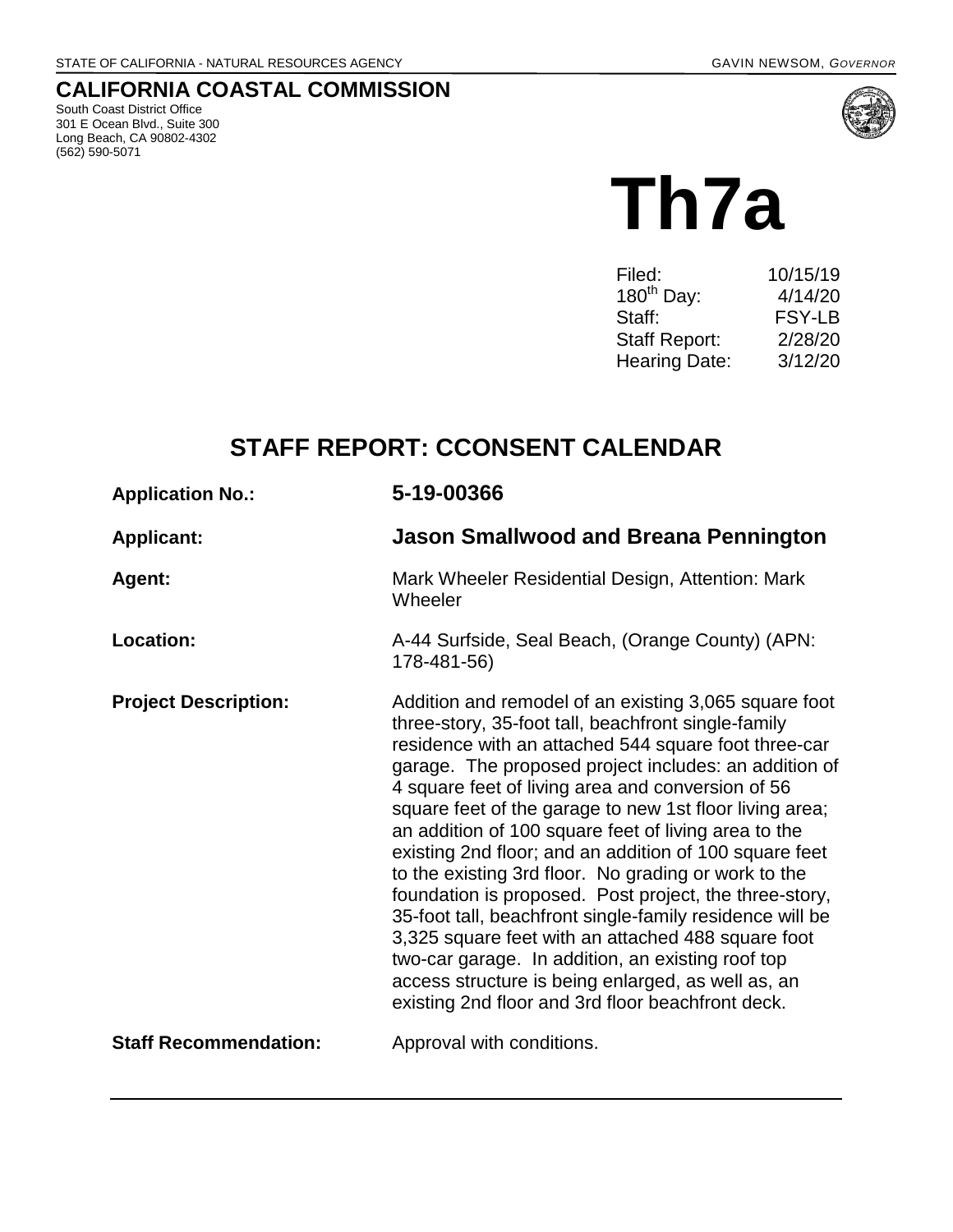## **CALIFORNIA COASTAL COMMISSION**

South Coast District Office 301 E Ocean Blvd., Suite 300 Long Beach, CA 90802-4302 (562) 590-5071



# **Th7a**

| Filed:               | 10/15/19      |
|----------------------|---------------|
| $180^{th}$ Day:      | 4/14/20       |
| Staff:               | <b>FSY-LB</b> |
| <b>Staff Report:</b> | 2/28/20       |
| <b>Hearing Date:</b> | 3/12/20       |
|                      |               |

# **STAFF REPORT: CCONSENT CALENDAR**

| <b>Application No.:</b>      | 5-19-00366                                                                                                                                                                                                                                                                                                                                                                                                                                                                                                                                                                                                                                                                                                                                                                                                                                                          |
|------------------------------|---------------------------------------------------------------------------------------------------------------------------------------------------------------------------------------------------------------------------------------------------------------------------------------------------------------------------------------------------------------------------------------------------------------------------------------------------------------------------------------------------------------------------------------------------------------------------------------------------------------------------------------------------------------------------------------------------------------------------------------------------------------------------------------------------------------------------------------------------------------------|
| <b>Applicant:</b>            | <b>Jason Smallwood and Breana Pennington</b>                                                                                                                                                                                                                                                                                                                                                                                                                                                                                                                                                                                                                                                                                                                                                                                                                        |
| Agent:                       | Mark Wheeler Residential Design, Attention: Mark<br>Wheeler                                                                                                                                                                                                                                                                                                                                                                                                                                                                                                                                                                                                                                                                                                                                                                                                         |
| Location:                    | A-44 Surfside, Seal Beach, (Orange County) (APN:<br>178-481-56)                                                                                                                                                                                                                                                                                                                                                                                                                                                                                                                                                                                                                                                                                                                                                                                                     |
| <b>Project Description:</b>  | Addition and remodel of an existing 3,065 square foot<br>three-story, 35-foot tall, beachfront single-family<br>residence with an attached 544 square foot three-car<br>garage. The proposed project includes: an addition of<br>4 square feet of living area and conversion of 56<br>square feet of the garage to new 1st floor living area;<br>an addition of 100 square feet of living area to the<br>existing 2nd floor; and an addition of 100 square feet<br>to the existing 3rd floor. No grading or work to the<br>foundation is proposed. Post project, the three-story,<br>35-foot tall, beachfront single-family residence will be<br>3,325 square feet with an attached 488 square foot<br>two-car garage. In addition, an existing roof top<br>access structure is being enlarged, as well as, an<br>existing 2nd floor and 3rd floor beachfront deck. |
| <b>Staff Recommendation:</b> | Approval with conditions.                                                                                                                                                                                                                                                                                                                                                                                                                                                                                                                                                                                                                                                                                                                                                                                                                                           |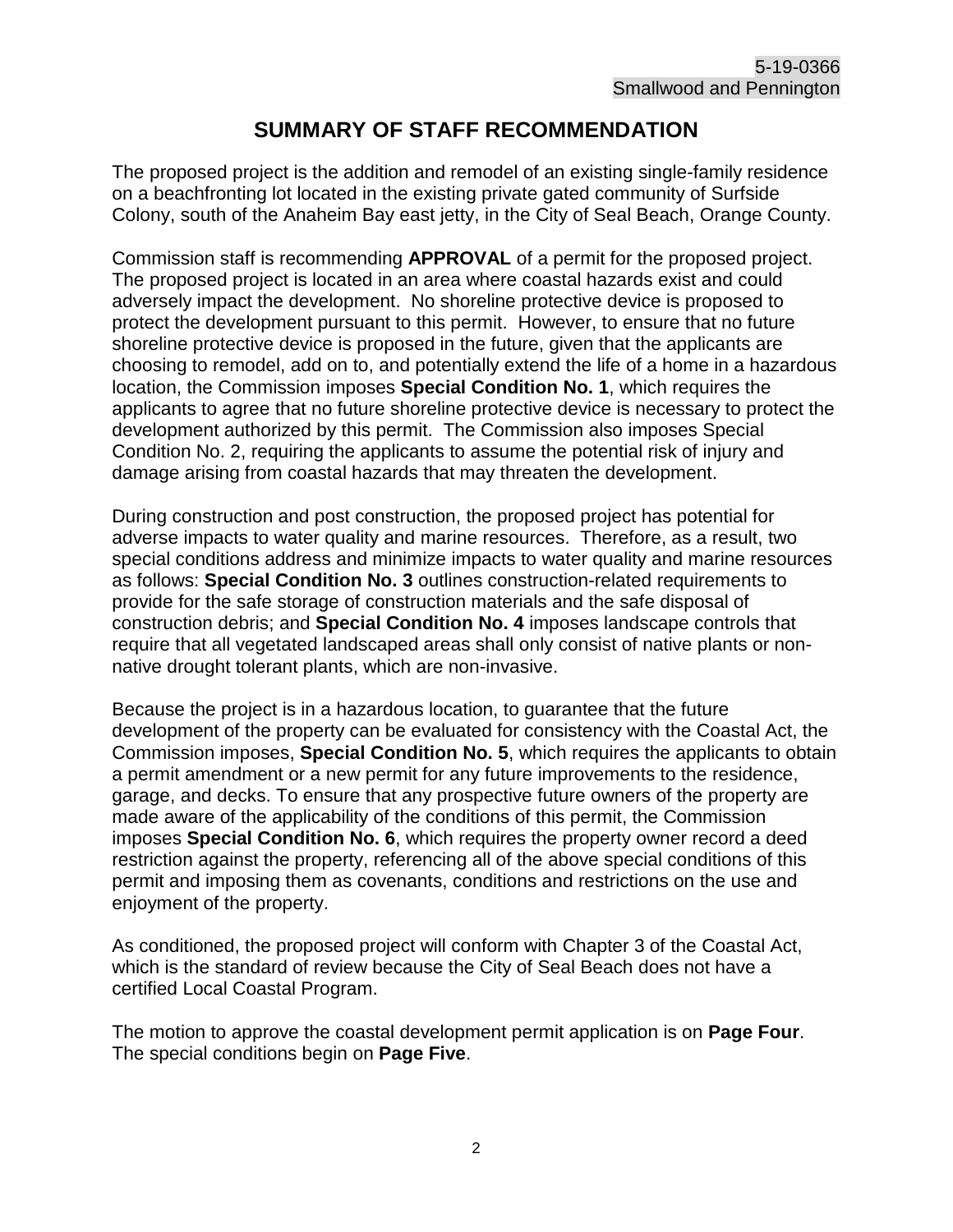#### **SUMMARY OF STAFF RECOMMENDATION**

The proposed project is the addition and remodel of an existing single-family residence on a beachfronting lot located in the existing private gated community of Surfside Colony, south of the Anaheim Bay east jetty, in the City of Seal Beach, Orange County.

Commission staff is recommending **APPROVAL** of a permit for the proposed project. The proposed project is located in an area where coastal hazards exist and could adversely impact the development. No shoreline protective device is proposed to protect the development pursuant to this permit. However, to ensure that no future shoreline protective device is proposed in the future, given that the applicants are choosing to remodel, add on to, and potentially extend the life of a home in a hazardous location, the Commission imposes **Special Condition No. 1**, which requires the applicants to agree that no future shoreline protective device is necessary to protect the development authorized by this permit. The Commission also imposes Special Condition No. 2, requiring the applicants to assume the potential risk of injury and damage arising from coastal hazards that may threaten the development.

During construction and post construction, the proposed project has potential for adverse impacts to water quality and marine resources. Therefore, as a result, two special conditions address and minimize impacts to water quality and marine resources as follows: **Special Condition No. 3** outlines construction-related requirements to provide for the safe storage of construction materials and the safe disposal of construction debris; and **Special Condition No. 4** imposes landscape controls that require that all vegetated landscaped areas shall only consist of native plants or nonnative drought tolerant plants, which are non-invasive.

Because the project is in a hazardous location, to guarantee that the future development of the property can be evaluated for consistency with the Coastal Act, the Commission imposes, **Special Condition No. 5**, which requires the applicants to obtain a permit amendment or a new permit for any future improvements to the residence, garage, and decks. To ensure that any prospective future owners of the property are made aware of the applicability of the conditions of this permit, the Commission imposes **Special Condition No. 6**, which requires the property owner record a deed restriction against the property, referencing all of the above special conditions of this permit and imposing them as covenants, conditions and restrictions on the use and enjoyment of the property.

As conditioned, the proposed project will conform with Chapter 3 of the Coastal Act, which is the standard of review because the City of Seal Beach does not have a certified Local Coastal Program.

The motion to approve the coastal development permit application is on **Page Four**. The special conditions begin on **Page Five**.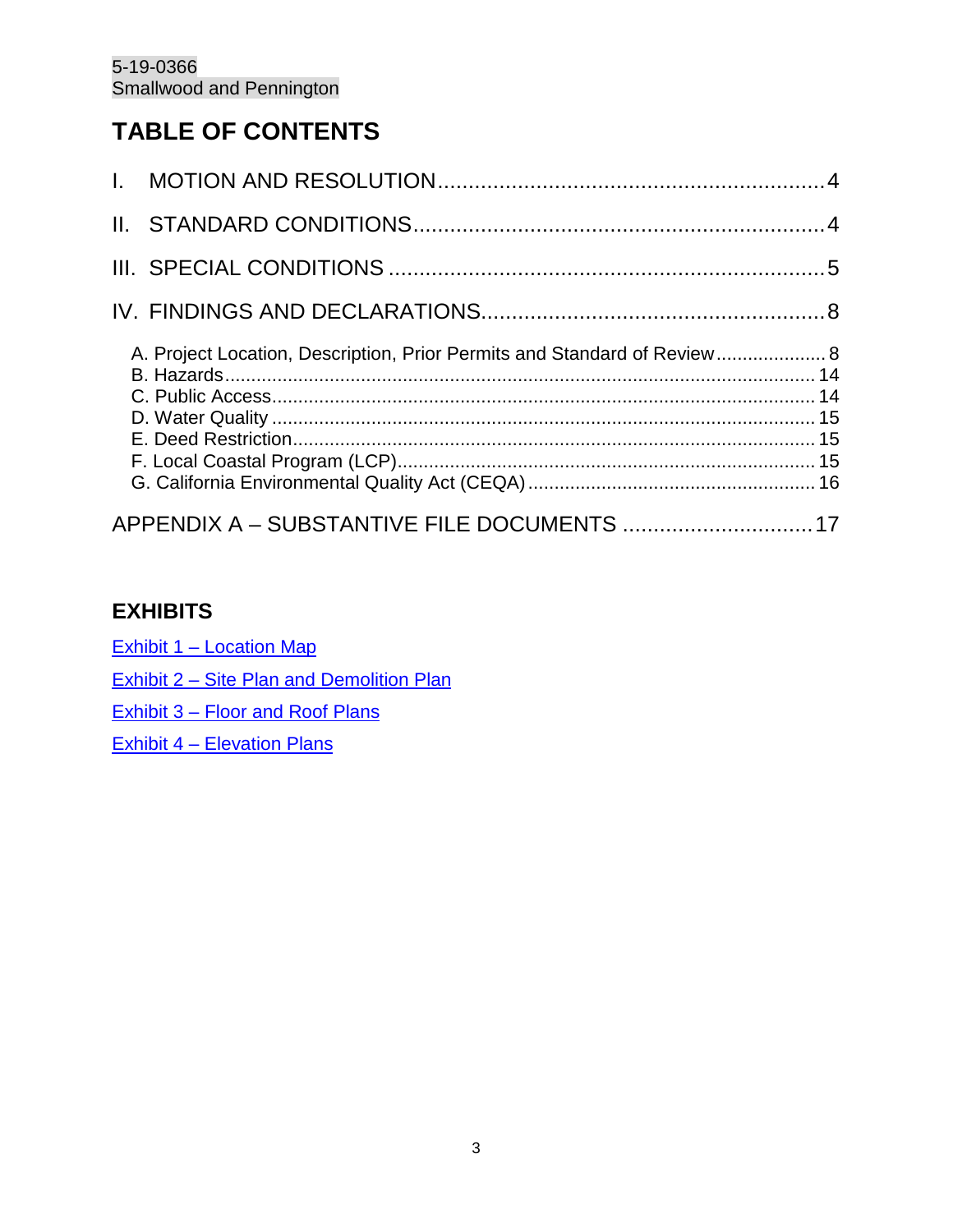# **TABLE OF CONTENTS**

| A. Project Location, Description, Prior Permits and Standard of Review 8 |  |
|--------------------------------------------------------------------------|--|
| APPENDIX A - SUBSTANTIVE FILE DOCUMENTS  17                              |  |

## **EXHIBITS**

[Exhibit 1 – Location Map](https://documents.coastal.ca.gov/reports/2020/3/Th7a/Th7a-3-2020-exhibits.pdf)

[Exhibit 2 – Site Plan and Demolition Plan](https://documents.coastal.ca.gov/reports/2020/3/Th7a/Th7a-3-2020-exhibits.pdf)

[Exhibit 3 – Floor and Roof Plans](https://documents.coastal.ca.gov/reports/2020/3/Th7a/Th7a-3-2020-exhibits.pdf)

[Exhibit 4 – Elevation Plans](https://documents.coastal.ca.gov/reports/2020/3/Th7a/Th7a-3-2020-exhibits.pdf)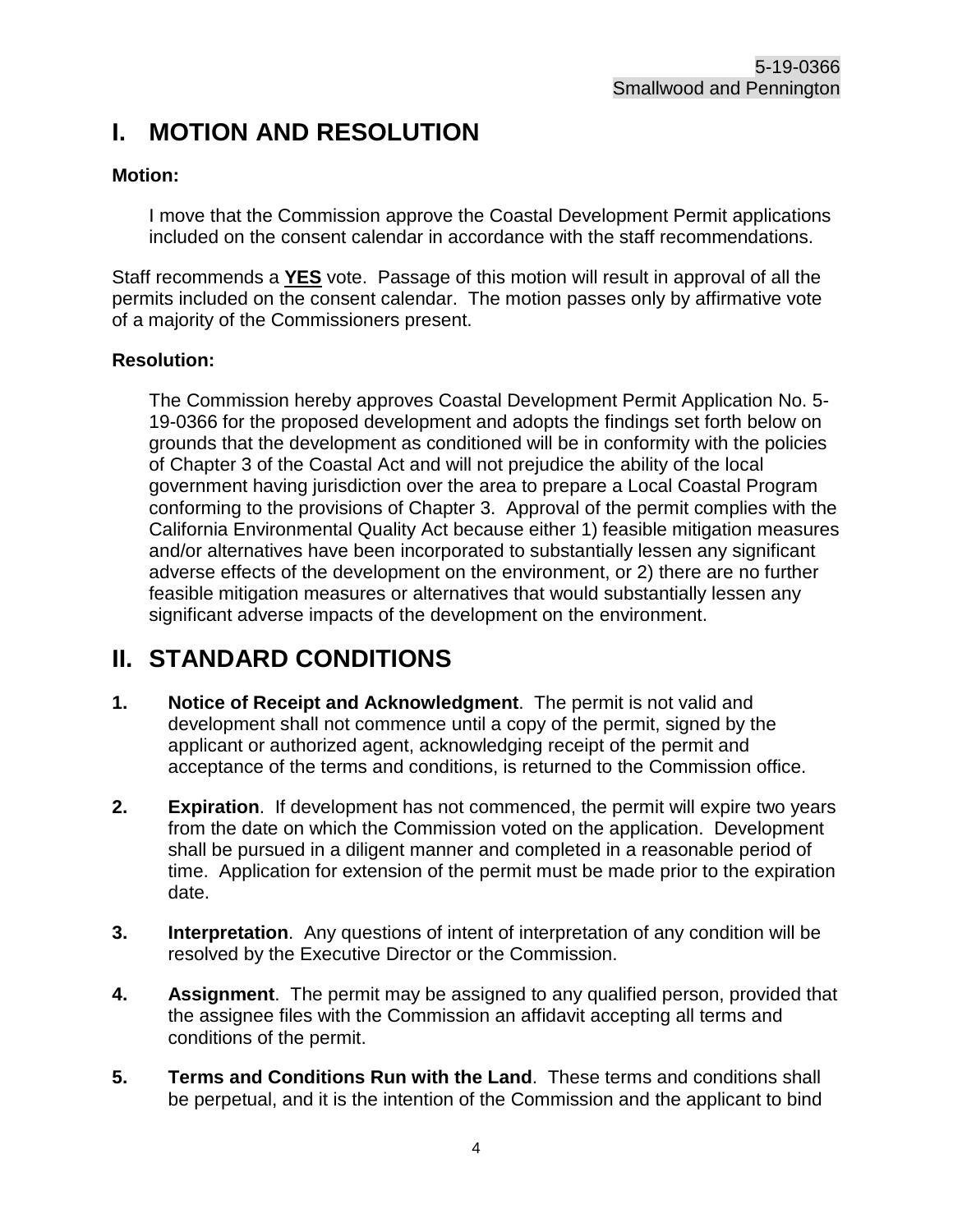# <span id="page-3-0"></span>**I. MOTION AND RESOLUTION**

#### **Motion:**

I move that the Commission approve the Coastal Development Permit applications included on the consent calendar in accordance with the staff recommendations.

Staff recommends a **YES** vote. Passage of this motion will result in approval of all the permits included on the consent calendar. The motion passes only by affirmative vote of a majority of the Commissioners present.

#### **Resolution:**

The Commission hereby approves Coastal Development Permit Application No. 5- 19-0366 for the proposed development and adopts the findings set forth below on grounds that the development as conditioned will be in conformity with the policies of Chapter 3 of the Coastal Act and will not prejudice the ability of the local government having jurisdiction over the area to prepare a Local Coastal Program conforming to the provisions of Chapter 3. Approval of the permit complies with the California Environmental Quality Act because either 1) feasible mitigation measures and/or alternatives have been incorporated to substantially lessen any significant adverse effects of the development on the environment, or 2) there are no further feasible mitigation measures or alternatives that would substantially lessen any significant adverse impacts of the development on the environment.

# <span id="page-3-1"></span>**II. STANDARD CONDITIONS**

- **1. Notice of Receipt and Acknowledgment**. The permit is not valid and development shall not commence until a copy of the permit, signed by the applicant or authorized agent, acknowledging receipt of the permit and acceptance of the terms and conditions, is returned to the Commission office.
- **2. Expiration**. If development has not commenced, the permit will expire two years from the date on which the Commission voted on the application. Development shall be pursued in a diligent manner and completed in a reasonable period of time. Application for extension of the permit must be made prior to the expiration date.
- **3. Interpretation**. Any questions of intent of interpretation of any condition will be resolved by the Executive Director or the Commission.
- **4. Assignment**. The permit may be assigned to any qualified person, provided that the assignee files with the Commission an affidavit accepting all terms and conditions of the permit.
- **5. Terms and Conditions Run with the Land**. These terms and conditions shall be perpetual, and it is the intention of the Commission and the applicant to bind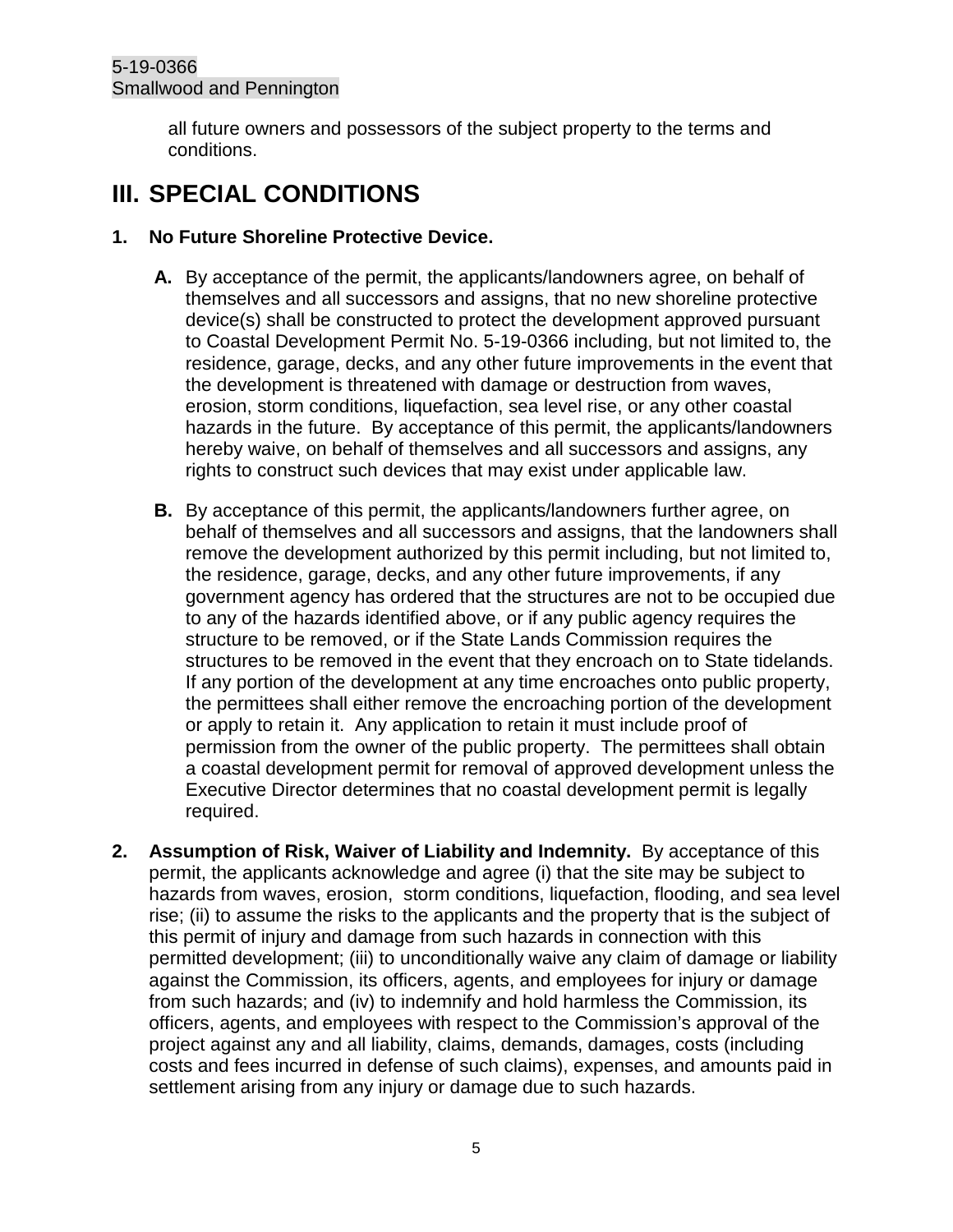all future owners and possessors of the subject property to the terms and conditions.

# <span id="page-4-0"></span>**III. SPECIAL CONDITIONS**

#### **1. No Future Shoreline Protective Device.**

- **A.** By acceptance of the permit, the applicants/landowners agree, on behalf of themselves and all successors and assigns, that no new shoreline protective device(s) shall be constructed to protect the development approved pursuant to Coastal Development Permit No. 5-19-0366 including, but not limited to, the residence, garage, decks, and any other future improvements in the event that the development is threatened with damage or destruction from waves, erosion, storm conditions, liquefaction, sea level rise, or any other coastal hazards in the future. By acceptance of this permit, the applicants/landowners hereby waive, on behalf of themselves and all successors and assigns, any rights to construct such devices that may exist under applicable law.
- **B.** By acceptance of this permit, the applicants/landowners further agree, on behalf of themselves and all successors and assigns, that the landowners shall remove the development authorized by this permit including, but not limited to, the residence, garage, decks, and any other future improvements, if any government agency has ordered that the structures are not to be occupied due to any of the hazards identified above, or if any public agency requires the structure to be removed, or if the State Lands Commission requires the structures to be removed in the event that they encroach on to State tidelands. If any portion of the development at any time encroaches onto public property, the permittees shall either remove the encroaching portion of the development or apply to retain it. Any application to retain it must include proof of permission from the owner of the public property. The permittees shall obtain a coastal development permit for removal of approved development unless the Executive Director determines that no coastal development permit is legally required.
- **2. Assumption of Risk, Waiver of Liability and Indemnity.** By acceptance of this permit, the applicants acknowledge and agree (i) that the site may be subject to hazards from waves, erosion, storm conditions, liquefaction, flooding, and sea level rise; (ii) to assume the risks to the applicants and the property that is the subject of this permit of injury and damage from such hazards in connection with this permitted development; (iii) to unconditionally waive any claim of damage or liability against the Commission, its officers, agents, and employees for injury or damage from such hazards; and (iv) to indemnify and hold harmless the Commission, its officers, agents, and employees with respect to the Commission's approval of the project against any and all liability, claims, demands, damages, costs (including costs and fees incurred in defense of such claims), expenses, and amounts paid in settlement arising from any injury or damage due to such hazards.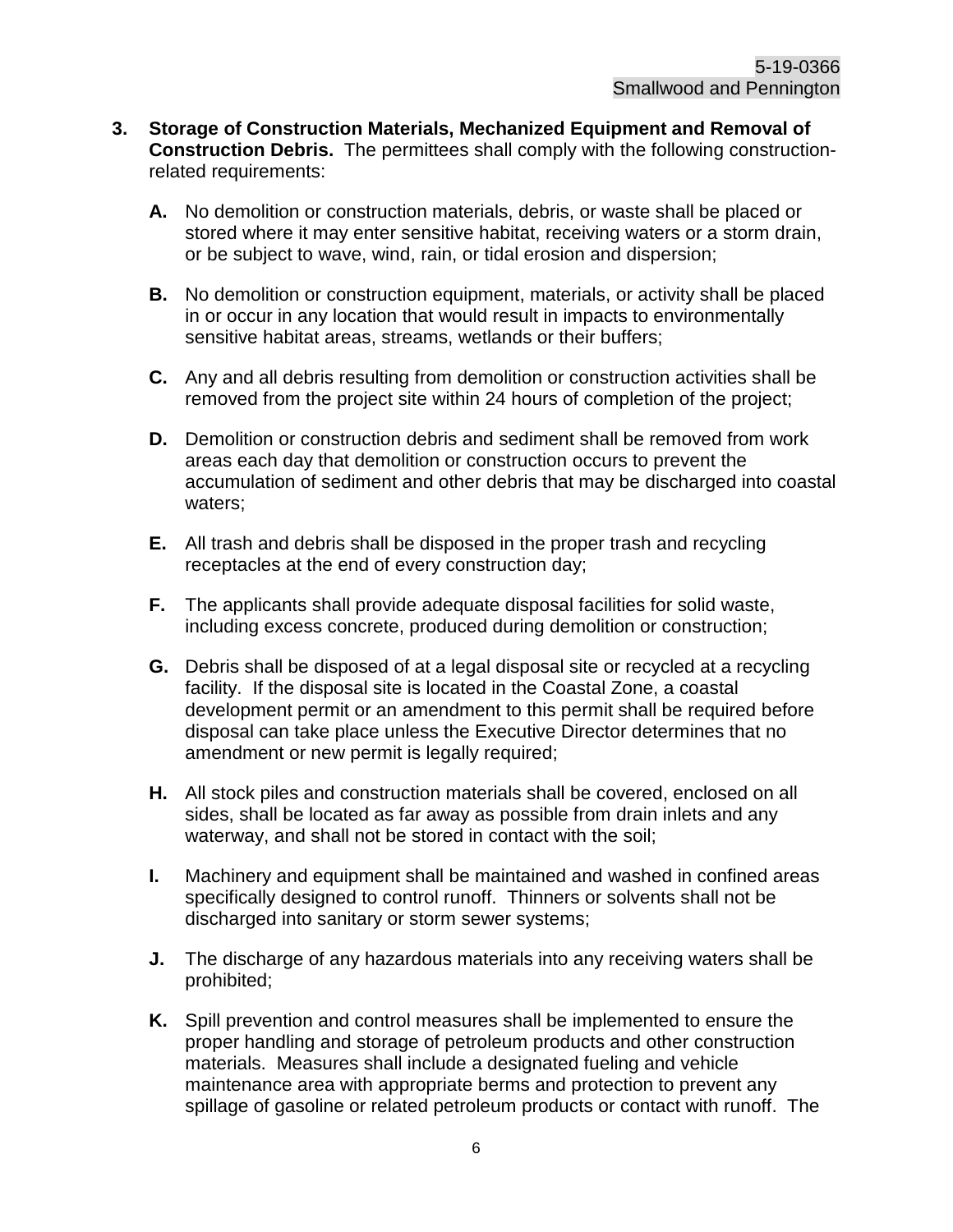- **3. Storage of Construction Materials, Mechanized Equipment and Removal of Construction Debris.** The permittees shall comply with the following constructionrelated requirements:
	- **A.** No demolition or construction materials, debris, or waste shall be placed or stored where it may enter sensitive habitat, receiving waters or a storm drain, or be subject to wave, wind, rain, or tidal erosion and dispersion;
	- **B.** No demolition or construction equipment, materials, or activity shall be placed in or occur in any location that would result in impacts to environmentally sensitive habitat areas, streams, wetlands or their buffers;
	- **C.** Any and all debris resulting from demolition or construction activities shall be removed from the project site within 24 hours of completion of the project;
	- **D.** Demolition or construction debris and sediment shall be removed from work areas each day that demolition or construction occurs to prevent the accumulation of sediment and other debris that may be discharged into coastal waters;
	- **E.** All trash and debris shall be disposed in the proper trash and recycling receptacles at the end of every construction day;
	- **F.** The applicants shall provide adequate disposal facilities for solid waste, including excess concrete, produced during demolition or construction;
	- **G.** Debris shall be disposed of at a legal disposal site or recycled at a recycling facility. If the disposal site is located in the Coastal Zone, a coastal development permit or an amendment to this permit shall be required before disposal can take place unless the Executive Director determines that no amendment or new permit is legally required;
	- **H.** All stock piles and construction materials shall be covered, enclosed on all sides, shall be located as far away as possible from drain inlets and any waterway, and shall not be stored in contact with the soil;
	- **I.** Machinery and equipment shall be maintained and washed in confined areas specifically designed to control runoff. Thinners or solvents shall not be discharged into sanitary or storm sewer systems;
	- **J.** The discharge of any hazardous materials into any receiving waters shall be prohibited;
	- **K.** Spill prevention and control measures shall be implemented to ensure the proper handling and storage of petroleum products and other construction materials. Measures shall include a designated fueling and vehicle maintenance area with appropriate berms and protection to prevent any spillage of gasoline or related petroleum products or contact with runoff. The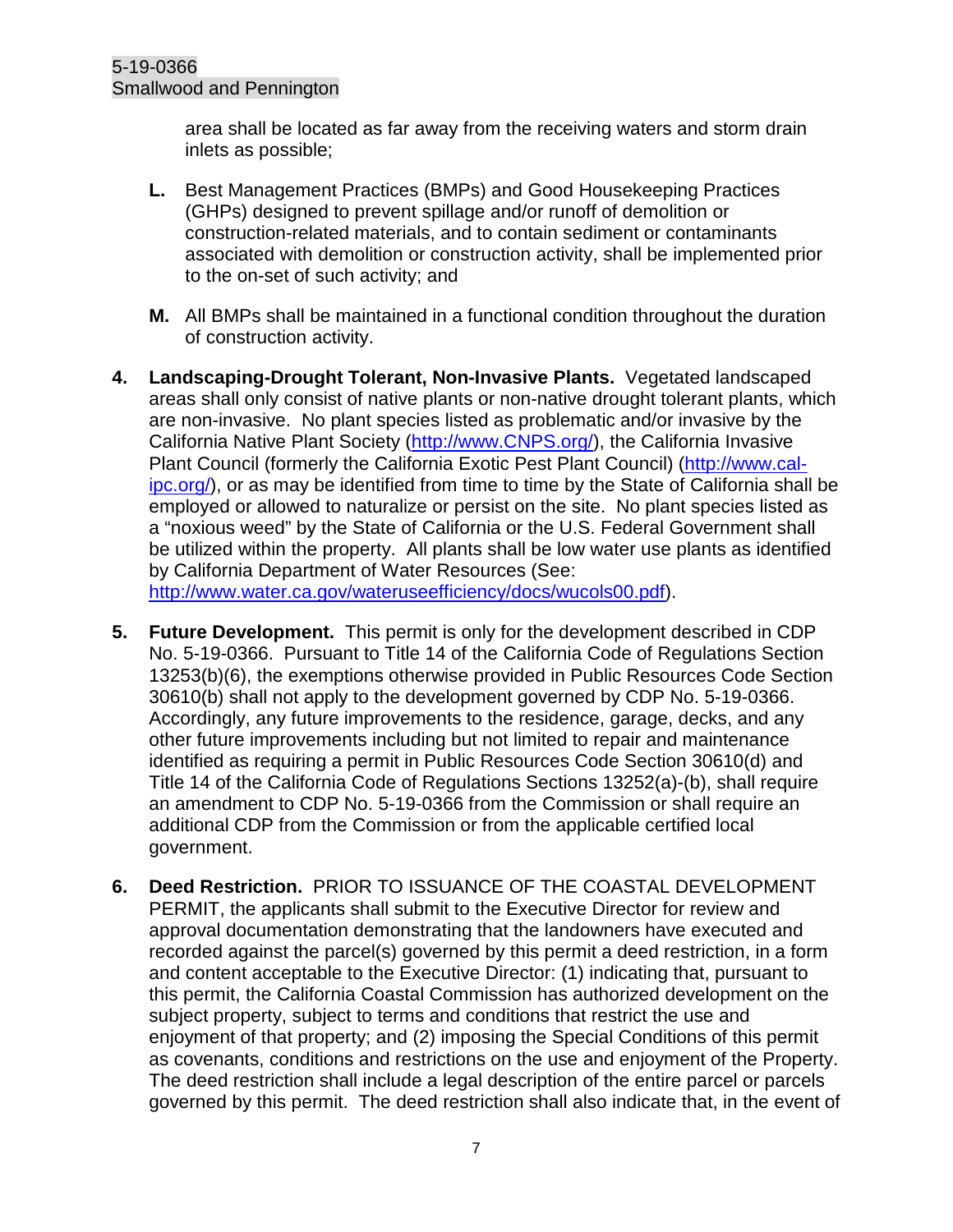area shall be located as far away from the receiving waters and storm drain inlets as possible;

- **L.** Best Management Practices (BMPs) and Good Housekeeping Practices (GHPs) designed to prevent spillage and/or runoff of demolition or construction-related materials, and to contain sediment or contaminants associated with demolition or construction activity, shall be implemented prior to the on-set of such activity; and
- **M.** All BMPs shall be maintained in a functional condition throughout the duration of construction activity.
- **4. Landscaping-Drought Tolerant, Non-Invasive Plants.** Vegetated landscaped areas shall only consist of native plants or non-native drought tolerant plants, which are non-invasive. No plant species listed as problematic and/or invasive by the California Native Plant Society [\(http://www.CNPS.org/\)](http://www.cnps.org/), the California Invasive Plant Council (formerly the California Exotic Pest Plant Council) [\(http://www.cal](http://www.cal-ipc.org/)[ipc.org/\)](http://www.cal-ipc.org/), or as may be identified from time to time by the State of California shall be employed or allowed to naturalize or persist on the site. No plant species listed as a "noxious weed" by the State of California or the U.S. Federal Government shall be utilized within the property. All plants shall be low water use plants as identified by California Department of Water Resources (See: [http://www.water.ca.gov/wateruseefficiency/docs/wucols00.pdf\)](http://www.water.ca.gov/wateruseefficiency/docs/wucols00.pdf).
- **5. Future Development.** This permit is only for the development described in CDP No. 5-19-0366. Pursuant to Title 14 of the California Code of Regulations Section 13253(b)(6), the exemptions otherwise provided in Public Resources Code Section 30610(b) shall not apply to the development governed by CDP No. 5-19-0366. Accordingly, any future improvements to the residence, garage, decks, and any other future improvements including but not limited to repair and maintenance identified as requiring a permit in Public Resources Code Section 30610(d) and Title 14 of the California Code of Regulations Sections 13252(a)-(b), shall require an amendment to CDP No. 5-19-0366 from the Commission or shall require an additional CDP from the Commission or from the applicable certified local government.
- **6. Deed Restriction.** PRIOR TO ISSUANCE OF THE COASTAL DEVELOPMENT PERMIT, the applicants shall submit to the Executive Director for review and approval documentation demonstrating that the landowners have executed and recorded against the parcel(s) governed by this permit a deed restriction, in a form and content acceptable to the Executive Director: (1) indicating that, pursuant to this permit, the California Coastal Commission has authorized development on the subject property, subject to terms and conditions that restrict the use and enjoyment of that property; and (2) imposing the Special Conditions of this permit as covenants, conditions and restrictions on the use and enjoyment of the Property. The deed restriction shall include a legal description of the entire parcel or parcels governed by this permit. The deed restriction shall also indicate that, in the event of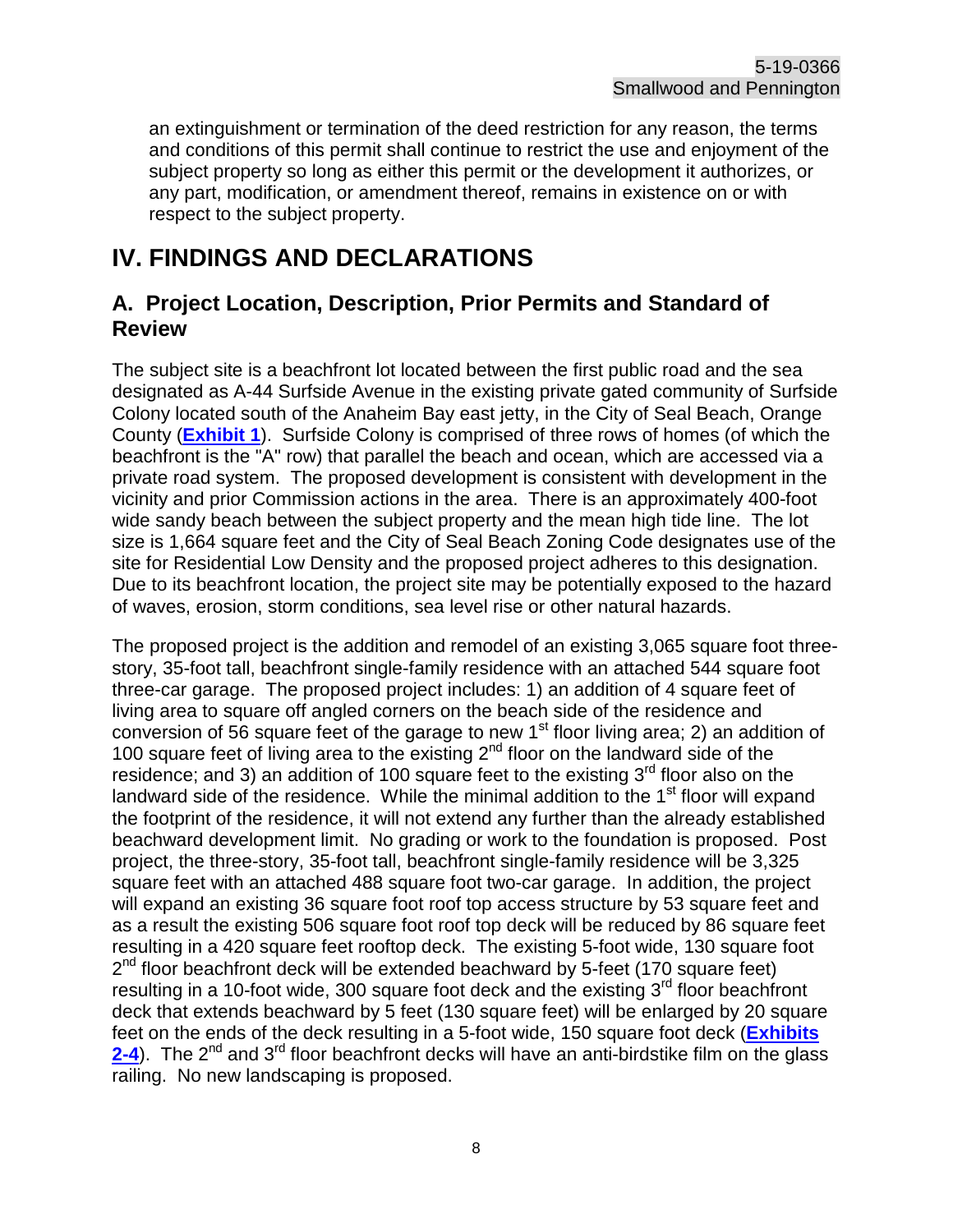an extinguishment or termination of the deed restriction for any reason, the terms and conditions of this permit shall continue to restrict the use and enjoyment of the subject property so long as either this permit or the development it authorizes, or any part, modification, or amendment thereof, remains in existence on or with respect to the subject property.

# <span id="page-7-0"></span>**IV. FINDINGS AND DECLARATIONS**

#### <span id="page-7-1"></span>**A. Project Location, Description, Prior Permits and Standard of Review**

The subject site is a beachfront lot located between the first public road and the sea designated as A-44 Surfside Avenue in the existing private gated community of Surfside Colony located south of the Anaheim Bay east jetty, in the City of Seal Beach, Orange County (**[Exhibit 1](https://documents.coastal.ca.gov/reports/2020/3/Th7a/Th7a-3-2020-exhibits.pdf)**). Surfside Colony is comprised of three rows of homes (of which the beachfront is the "A" row) that parallel the beach and ocean, which are accessed via a private road system. The proposed development is consistent with development in the vicinity and prior Commission actions in the area. There is an approximately 400-foot wide sandy beach between the subject property and the mean high tide line. The lot size is 1,664 square feet and the City of Seal Beach Zoning Code designates use of the site for Residential Low Density and the proposed project adheres to this designation. Due to its beachfront location, the project site may be potentially exposed to the hazard of waves, erosion, storm conditions, sea level rise or other natural hazards.

The proposed project is the addition and remodel of an existing 3,065 square foot threestory, 35-foot tall, beachfront single-family residence with an attached 544 square foot three-car garage. The proposed project includes: 1) an addition of 4 square feet of living area to square off angled corners on the beach side of the residence and conversion of 56 square feet of the garage to new 1<sup>st</sup> floor living area; 2) an addition of 100 square feet of living area to the existing 2<sup>nd</sup> floor on the landward side of the residence; and 3) an addition of 100 square feet to the existing  $3<sup>rd</sup>$  floor also on the landward side of the residence. While the minimal addition to the  $1<sup>st</sup>$  floor will expand the footprint of the residence, it will not extend any further than the already established beachward development limit. No grading or work to the foundation is proposed. Post project, the three-story, 35-foot tall, beachfront single-family residence will be 3,325 square feet with an attached 488 square foot two-car garage. In addition, the project will expand an existing 36 square foot roof top access structure by 53 square feet and as a result the existing 506 square foot roof top deck will be reduced by 86 square feet resulting in a 420 square feet rooftop deck. The existing 5-foot wide, 130 square foot  $2<sup>nd</sup>$  floor beachfront deck will be extended beachward by 5-feet (170 square feet) resulting in a 10-foot wide, 300 square foot deck and the existing  $3<sup>rd</sup>$  floor beachfront deck that extends beachward by 5 feet (130 square feet) will be enlarged by 20 square feet on the ends of the deck resulting in a 5-foot wide, 150 square foot deck (**[Exhibits](https://documents.coastal.ca.gov/reports/2020/3/Th7a/Th7a-3-2020-exhibits.pdf)  [2-4](https://documents.coastal.ca.gov/reports/2020/3/Th7a/Th7a-3-2020-exhibits.pdf)**). The 2<sup>nd</sup> and 3<sup>rd</sup> floor beachfront decks will have an anti-birdstike film on the glass railing. No new landscaping is proposed.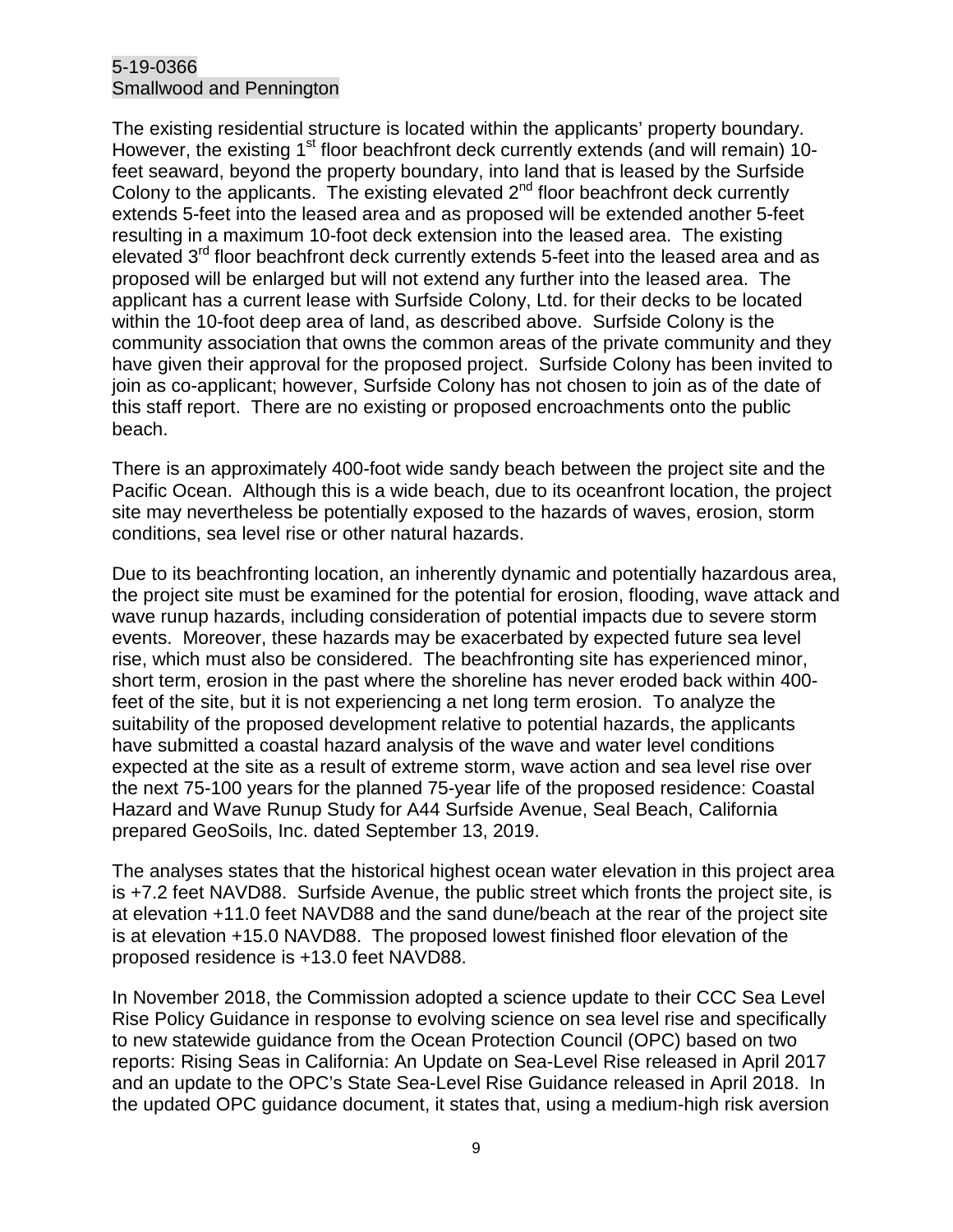#### 5-19-0366 Smallwood and Pennington

The existing residential structure is located within the applicants' property boundary. However, the existing 1<sup>st</sup> floor beachfront deck currently extends (and will remain) 10feet seaward, beyond the property boundary, into land that is leased by the Surfside Colony to the applicants. The existing elevated  $2<sup>nd</sup>$  floor beachfront deck currently extends 5-feet into the leased area and as proposed will be extended another 5-feet resulting in a maximum 10-foot deck extension into the leased area. The existing elevated  $3<sup>rd</sup>$  floor beachfront deck currently extends 5-feet into the leased area and as proposed will be enlarged but will not extend any further into the leased area. The applicant has a current lease with Surfside Colony, Ltd. for their decks to be located within the 10-foot deep area of land, as described above. Surfside Colony is the community association that owns the common areas of the private community and they have given their approval for the proposed project. Surfside Colony has been invited to join as co-applicant; however, Surfside Colony has not chosen to join as of the date of this staff report. There are no existing or proposed encroachments onto the public beach.

There is an approximately 400-foot wide sandy beach between the project site and the Pacific Ocean. Although this is a wide beach, due to its oceanfront location, the project site may nevertheless be potentially exposed to the hazards of waves, erosion, storm conditions, sea level rise or other natural hazards.

Due to its beachfronting location, an inherently dynamic and potentially hazardous area, the project site must be examined for the potential for erosion, flooding, wave attack and wave runup hazards, including consideration of potential impacts due to severe storm events. Moreover, these hazards may be exacerbated by expected future sea level rise, which must also be considered. The beachfronting site has experienced minor, short term, erosion in the past where the shoreline has never eroded back within 400 feet of the site, but it is not experiencing a net long term erosion. To analyze the suitability of the proposed development relative to potential hazards, the applicants have submitted a coastal hazard analysis of the wave and water level conditions expected at the site as a result of extreme storm, wave action and sea level rise over the next 75-100 years for the planned 75-year life of the proposed residence: Coastal Hazard and Wave Runup Study for A44 Surfside Avenue, Seal Beach, California prepared GeoSoils, Inc. dated September 13, 2019.

The analyses states that the historical highest ocean water elevation in this project area is +7.2 feet NAVD88. Surfside Avenue, the public street which fronts the project site, is at elevation +11.0 feet NAVD88 and the sand dune/beach at the rear of the project site is at elevation +15.0 NAVD88. The proposed lowest finished floor elevation of the proposed residence is +13.0 feet NAVD88.

In November 2018, the Commission adopted a science update to their CCC Sea Level Rise Policy Guidance in response to evolving science on sea level rise and specifically to new statewide guidance from the Ocean Protection Council (OPC) based on two reports: Rising Seas in California: An Update on Sea-Level Rise released in April 2017 and an update to the OPC's State Sea-Level Rise Guidance released in April 2018. In the updated OPC guidance document, it states that, using a medium-high risk aversion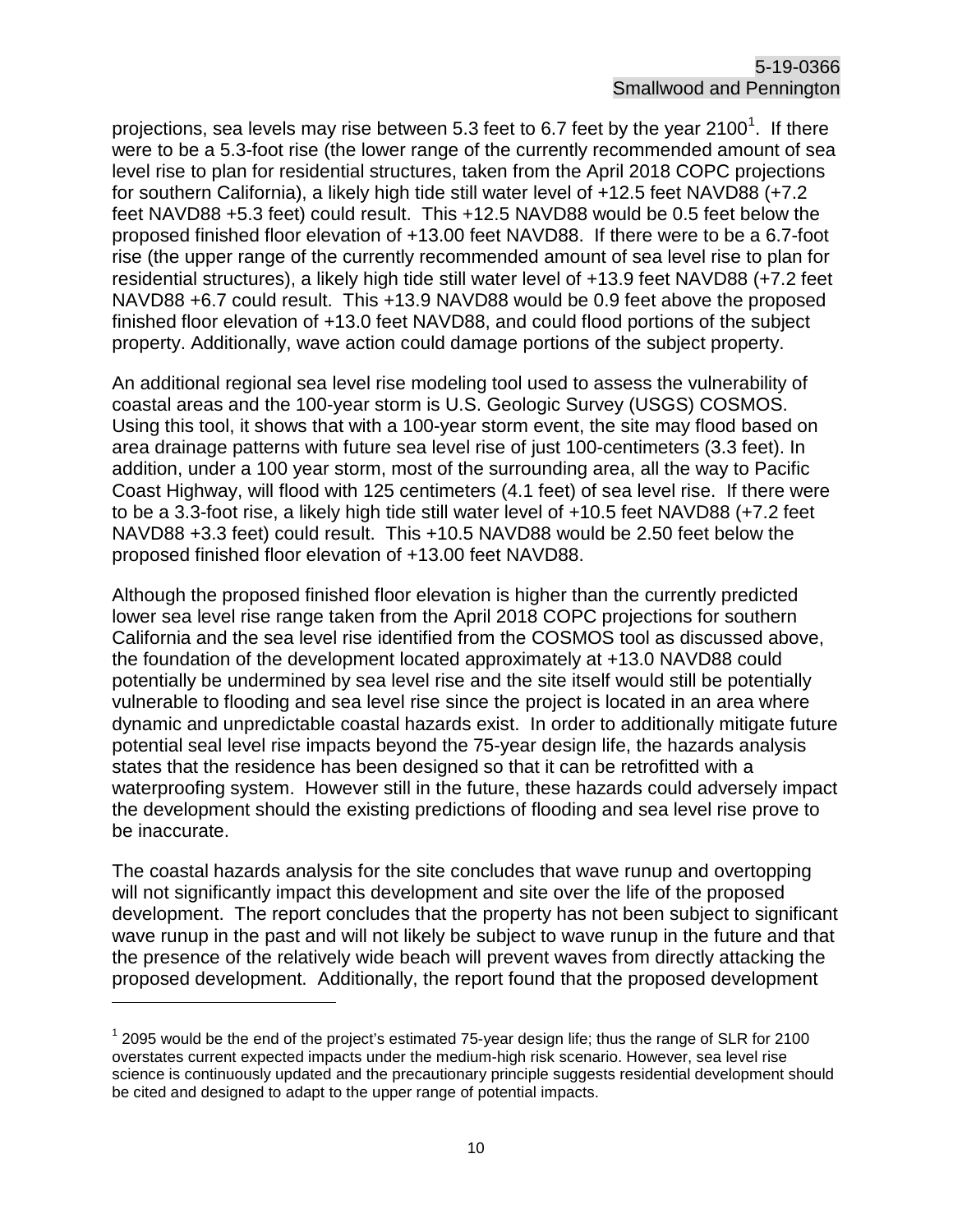projections, sea levels may rise between 5.3 feet to 6.7 feet by the year 2[1](#page-9-0)00 $^{\text{1}}$ . If there were to be a 5.3-foot rise (the lower range of the currently recommended amount of sea level rise to plan for residential structures, taken from the April 2018 COPC projections for southern California), a likely high tide still water level of +12.5 feet NAVD88 (+7.2 feet NAVD88 +5.3 feet) could result. This +12.5 NAVD88 would be 0.5 feet below the proposed finished floor elevation of +13.00 feet NAVD88. If there were to be a 6.7-foot rise (the upper range of the currently recommended amount of sea level rise to plan for residential structures), a likely high tide still water level of +13.9 feet NAVD88 (+7.2 feet NAVD88 +6.7 could result. This +13.9 NAVD88 would be 0.9 feet above the proposed finished floor elevation of +13.0 feet NAVD88, and could flood portions of the subject property. Additionally, wave action could damage portions of the subject property.

An additional regional sea level rise modeling tool used to assess the vulnerability of coastal areas and the 100-year storm is U.S. Geologic Survey (USGS) COSMOS. Using this tool, it shows that with a 100-year storm event, the site may flood based on area drainage patterns with future sea level rise of just 100-centimeters (3.3 feet). In addition, under a 100 year storm, most of the surrounding area, all the way to Pacific Coast Highway, will flood with 125 centimeters (4.1 feet) of sea level rise. If there were to be a 3.3-foot rise, a likely high tide still water level of +10.5 feet NAVD88 (+7.2 feet NAVD88 +3.3 feet) could result. This +10.5 NAVD88 would be 2.50 feet below the proposed finished floor elevation of +13.00 feet NAVD88.

Although the proposed finished floor elevation is higher than the currently predicted lower sea level rise range taken from the April 2018 COPC projections for southern California and the sea level rise identified from the COSMOS tool as discussed above, the foundation of the development located approximately at +13.0 NAVD88 could potentially be undermined by sea level rise and the site itself would still be potentially vulnerable to flooding and sea level rise since the project is located in an area where dynamic and unpredictable coastal hazards exist. In order to additionally mitigate future potential seal level rise impacts beyond the 75-year design life, the hazards analysis states that the residence has been designed so that it can be retrofitted with a waterproofing system. However still in the future, these hazards could adversely impact the development should the existing predictions of flooding and sea level rise prove to be inaccurate.

The coastal hazards analysis for the site concludes that wave runup and overtopping will not significantly impact this development and site over the life of the proposed development. The report concludes that the property has not been subject to significant wave runup in the past and will not likely be subject to wave runup in the future and that the presence of the relatively wide beach will prevent waves from directly attacking the proposed development. Additionally, the report found that the proposed development

 $\overline{a}$ 

<span id="page-9-0"></span> $12095$  would be the end of the project's estimated 75-year design life; thus the range of SLR for 2100 overstates current expected impacts under the medium-high risk scenario. However, sea level rise science is continuously updated and the precautionary principle suggests residential development should be cited and designed to adapt to the upper range of potential impacts.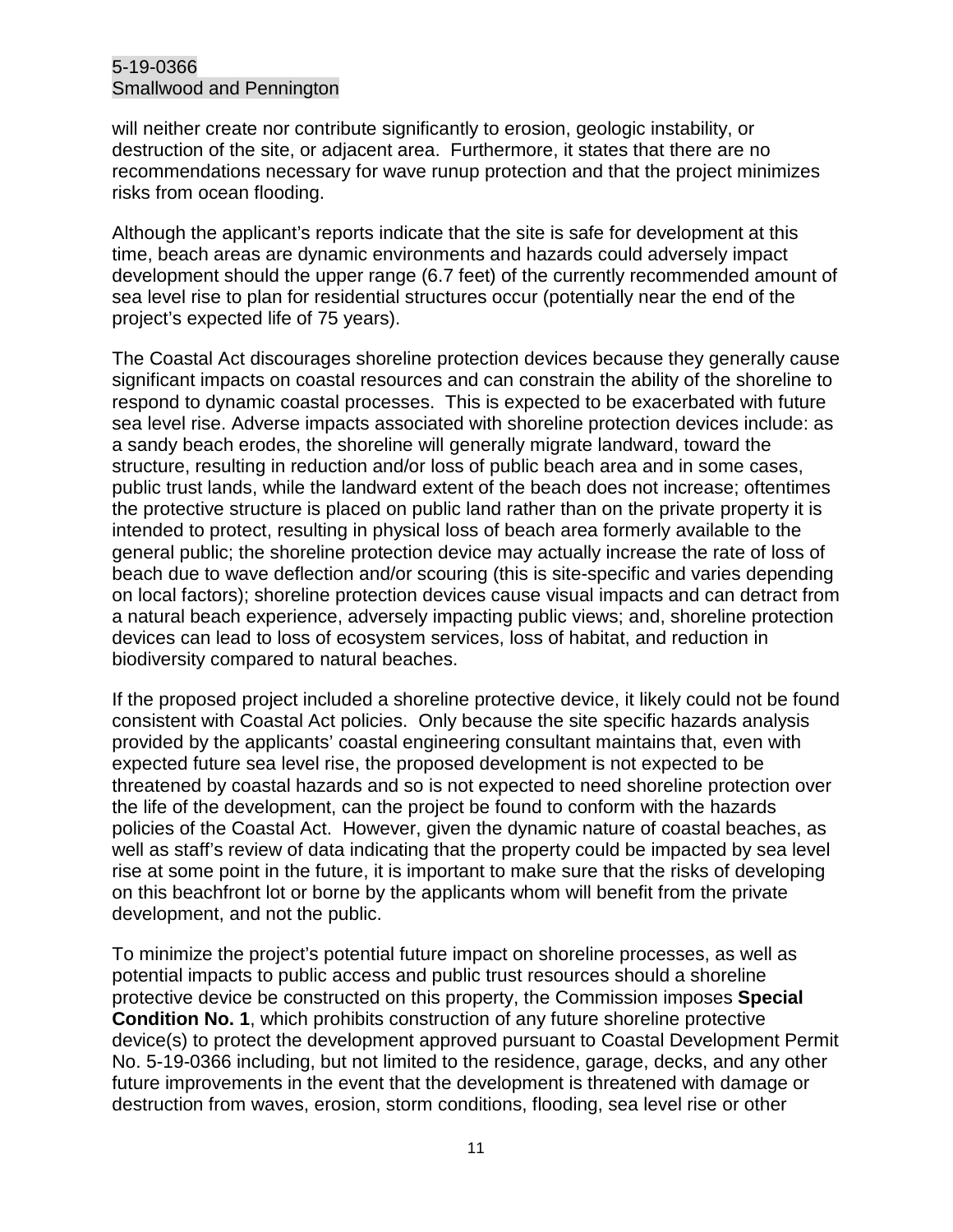#### 5-19-0366 Smallwood and Pennington

will neither create nor contribute significantly to erosion, geologic instability, or destruction of the site, or adjacent area. Furthermore, it states that there are no recommendations necessary for wave runup protection and that the project minimizes risks from ocean flooding.

Although the applicant's reports indicate that the site is safe for development at this time, beach areas are dynamic environments and hazards could adversely impact development should the upper range (6.7 feet) of the currently recommended amount of sea level rise to plan for residential structures occur (potentially near the end of the project's expected life of 75 years).

The Coastal Act discourages shoreline protection devices because they generally cause significant impacts on coastal resources and can constrain the ability of the shoreline to respond to dynamic coastal processes. This is expected to be exacerbated with future sea level rise. Adverse impacts associated with shoreline protection devices include: as a sandy beach erodes, the shoreline will generally migrate landward, toward the structure, resulting in reduction and/or loss of public beach area and in some cases, public trust lands, while the landward extent of the beach does not increase; oftentimes the protective structure is placed on public land rather than on the private property it is intended to protect, resulting in physical loss of beach area formerly available to the general public; the shoreline protection device may actually increase the rate of loss of beach due to wave deflection and/or scouring (this is site-specific and varies depending on local factors); shoreline protection devices cause visual impacts and can detract from a natural beach experience, adversely impacting public views; and, shoreline protection devices can lead to loss of ecosystem services, loss of habitat, and reduction in biodiversity compared to natural beaches.

If the proposed project included a shoreline protective device, it likely could not be found consistent with Coastal Act policies. Only because the site specific hazards analysis provided by the applicants' coastal engineering consultant maintains that, even with expected future sea level rise, the proposed development is not expected to be threatened by coastal hazards and so is not expected to need shoreline protection over the life of the development, can the project be found to conform with the hazards policies of the Coastal Act. However, given the dynamic nature of coastal beaches, as well as staff's review of data indicating that the property could be impacted by sea level rise at some point in the future, it is important to make sure that the risks of developing on this beachfront lot or borne by the applicants whom will benefit from the private development, and not the public.

To minimize the project's potential future impact on shoreline processes, as well as potential impacts to public access and public trust resources should a shoreline protective device be constructed on this property, the Commission imposes **Special Condition No. 1**, which prohibits construction of any future shoreline protective device(s) to protect the development approved pursuant to Coastal Development Permit No. 5-19-0366 including, but not limited to the residence, garage, decks, and any other future improvements in the event that the development is threatened with damage or destruction from waves, erosion, storm conditions, flooding, sea level rise or other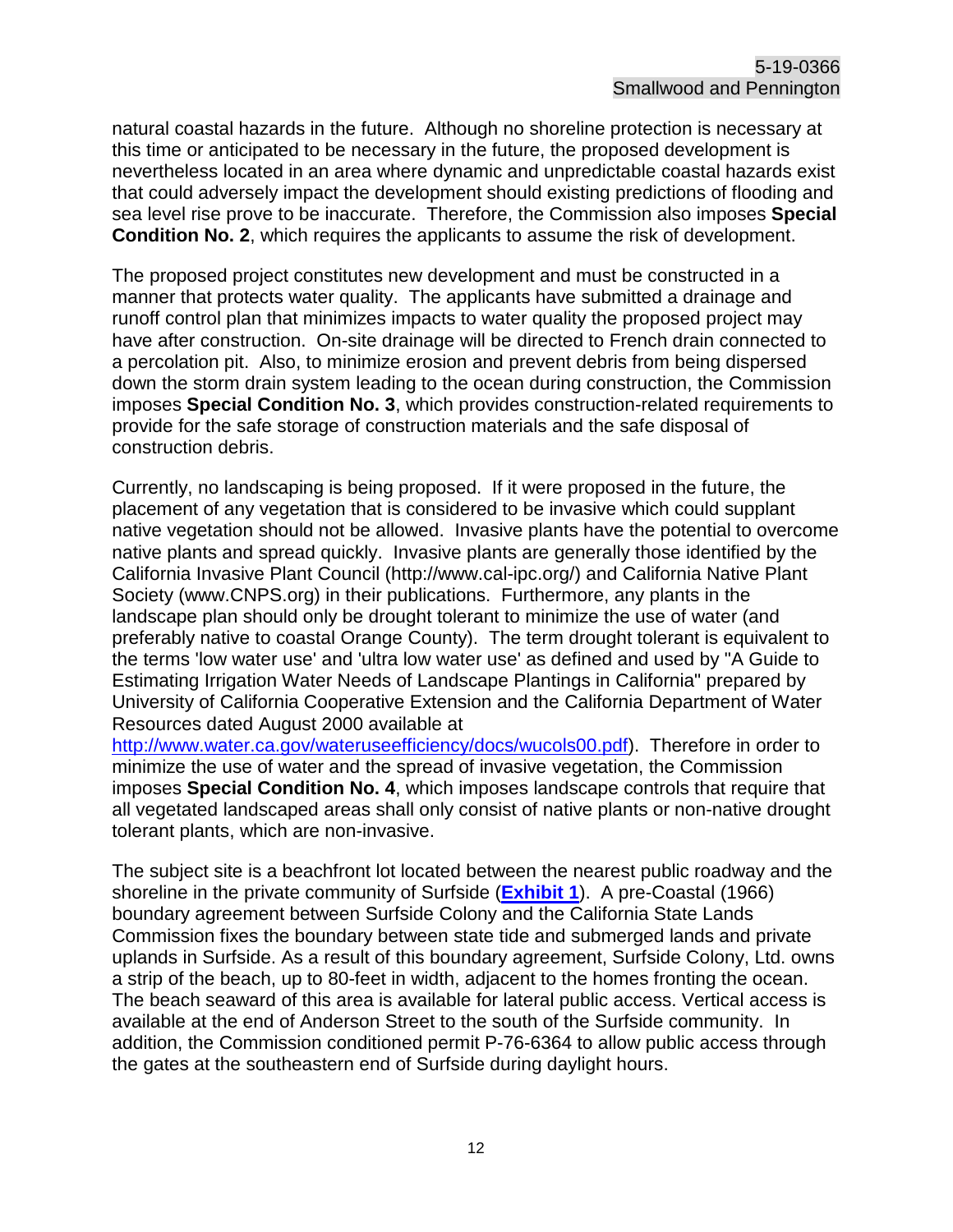natural coastal hazards in the future. Although no shoreline protection is necessary at this time or anticipated to be necessary in the future, the proposed development is nevertheless located in an area where dynamic and unpredictable coastal hazards exist that could adversely impact the development should existing predictions of flooding and sea level rise prove to be inaccurate. Therefore, the Commission also imposes **Special Condition No. 2**, which requires the applicants to assume the risk of development.

The proposed project constitutes new development and must be constructed in a manner that protects water quality. The applicants have submitted a drainage and runoff control plan that minimizes impacts to water quality the proposed project may have after construction. On-site drainage will be directed to French drain connected to a percolation pit. Also, to minimize erosion and prevent debris from being dispersed down the storm drain system leading to the ocean during construction, the Commission imposes **Special Condition No. 3**, which provides construction-related requirements to provide for the safe storage of construction materials and the safe disposal of construction debris.

Currently, no landscaping is being proposed. If it were proposed in the future, the placement of any vegetation that is considered to be invasive which could supplant native vegetation should not be allowed. Invasive plants have the potential to overcome native plants and spread quickly. Invasive plants are generally those identified by the California Invasive Plant Council (http://www.cal-ipc.org/) and California Native Plant Society (www.CNPS.org) in their publications. Furthermore, any plants in the landscape plan should only be drought tolerant to minimize the use of water (and preferably native to coastal Orange County). The term drought tolerant is equivalent to the terms 'low water use' and 'ultra low water use' as defined and used by "A Guide to Estimating Irrigation Water Needs of Landscape Plantings in California" prepared by University of California Cooperative Extension and the California Department of Water Resources dated August 2000 available at

[http://www.water.ca.gov/wateruseefficiency/docs/wucols00.pdf\)](http://www.water.ca.gov/wateruseefficiency/docs/wucols00.pdf). Therefore in order to minimize the use of water and the spread of invasive vegetation, the Commission imposes **Special Condition No. 4**, which imposes landscape controls that require that all vegetated landscaped areas shall only consist of native plants or non-native drought tolerant plants, which are non-invasive.

The subject site is a beachfront lot located between the nearest public roadway and the shoreline in the private community of Surfside (**[Exhibit 1](https://documents.coastal.ca.gov/reports/2020/3/Th7a/Th7a-3-2020-exhibits.pdf)**). A pre-Coastal (1966) boundary agreement between Surfside Colony and the California State Lands Commission fixes the boundary between state tide and submerged lands and private uplands in Surfside. As a result of this boundary agreement, Surfside Colony, Ltd. owns a strip of the beach, up to 80-feet in width, adjacent to the homes fronting the ocean. The beach seaward of this area is available for lateral public access. Vertical access is available at the end of Anderson Street to the south of the Surfside community. In addition, the Commission conditioned permit P-76-6364 to allow public access through the gates at the southeastern end of Surfside during daylight hours.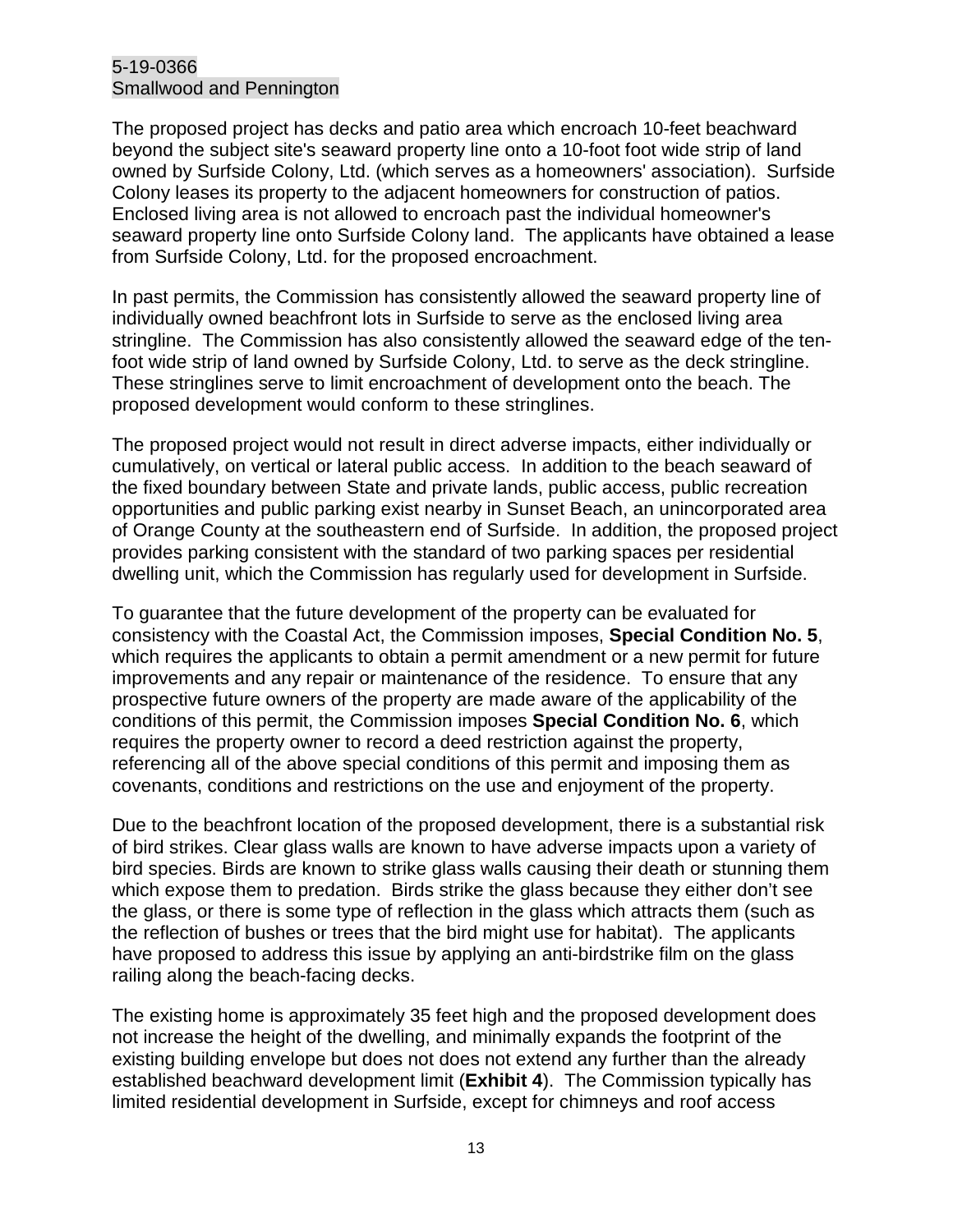#### 5-19-0366 Smallwood and Pennington

The proposed project has decks and patio area which encroach 10-feet beachward beyond the subject site's seaward property line onto a 10-foot foot wide strip of land owned by Surfside Colony, Ltd. (which serves as a homeowners' association). Surfside Colony leases its property to the adjacent homeowners for construction of patios. Enclosed living area is not allowed to encroach past the individual homeowner's seaward property line onto Surfside Colony land. The applicants have obtained a lease from Surfside Colony, Ltd. for the proposed encroachment.

In past permits, the Commission has consistently allowed the seaward property line of individually owned beachfront lots in Surfside to serve as the enclosed living area stringline. The Commission has also consistently allowed the seaward edge of the tenfoot wide strip of land owned by Surfside Colony, Ltd. to serve as the deck stringline. These stringlines serve to limit encroachment of development onto the beach. The proposed development would conform to these stringlines.

The proposed project would not result in direct adverse impacts, either individually or cumulatively, on vertical or lateral public access. In addition to the beach seaward of the fixed boundary between State and private lands, public access, public recreation opportunities and public parking exist nearby in Sunset Beach, an unincorporated area of Orange County at the southeastern end of Surfside. In addition, the proposed project provides parking consistent with the standard of two parking spaces per residential dwelling unit, which the Commission has regularly used for development in Surfside.

To guarantee that the future development of the property can be evaluated for consistency with the Coastal Act, the Commission imposes, **Special Condition No. 5**, which requires the applicants to obtain a permit amendment or a new permit for future improvements and any repair or maintenance of the residence. To ensure that any prospective future owners of the property are made aware of the applicability of the conditions of this permit, the Commission imposes **Special Condition No. 6**, which requires the property owner to record a deed restriction against the property, referencing all of the above special conditions of this permit and imposing them as covenants, conditions and restrictions on the use and enjoyment of the property.

Due to the beachfront location of the proposed development, there is a substantial risk of bird strikes. Clear glass walls are known to have adverse impacts upon a variety of bird species. Birds are known to strike glass walls causing their death or stunning them which expose them to predation. Birds strike the glass because they either don't see the glass, or there is some type of reflection in the glass which attracts them (such as the reflection of bushes or trees that the bird might use for habitat). The applicants have proposed to address this issue by applying an anti-birdstrike film on the glass railing along the beach-facing decks.

The existing home is approximately 35 feet high and the proposed development does not increase the height of the dwelling, and minimally expands the footprint of the existing building envelope but does not does not extend any further than the already established beachward development limit (**Exhibit 4**). The Commission typically has limited residential development in Surfside, except for chimneys and roof access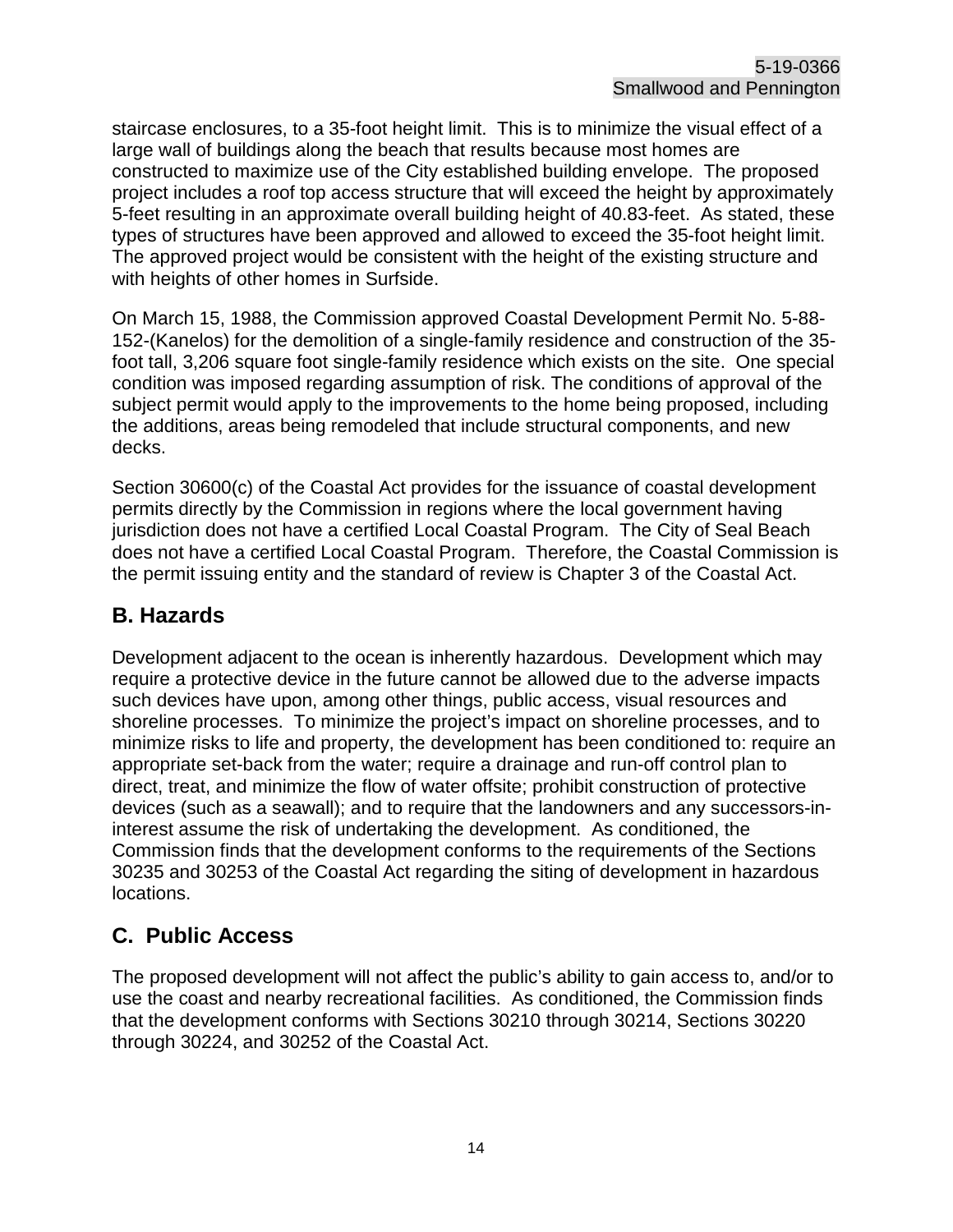staircase enclosures, to a 35-foot height limit. This is to minimize the visual effect of a large wall of buildings along the beach that results because most homes are constructed to maximize use of the City established building envelope. The proposed project includes a roof top access structure that will exceed the height by approximately 5-feet resulting in an approximate overall building height of 40.83-feet. As stated, these types of structures have been approved and allowed to exceed the 35-foot height limit. The approved project would be consistent with the height of the existing structure and with heights of other homes in Surfside.

On March 15, 1988, the Commission approved Coastal Development Permit No. 5-88- 152-(Kanelos) for the demolition of a single-family residence and construction of the 35 foot tall, 3,206 square foot single-family residence which exists on the site. One special condition was imposed regarding assumption of risk. The conditions of approval of the subject permit would apply to the improvements to the home being proposed, including the additions, areas being remodeled that include structural components, and new decks.

Section 30600(c) of the Coastal Act provides for the issuance of coastal development permits directly by the Commission in regions where the local government having jurisdiction does not have a certified Local Coastal Program. The City of Seal Beach does not have a certified Local Coastal Program. Therefore, the Coastal Commission is the permit issuing entity and the standard of review is Chapter 3 of the Coastal Act.

#### <span id="page-13-0"></span>**B. Hazards**

Development adjacent to the ocean is inherently hazardous. Development which may require a protective device in the future cannot be allowed due to the adverse impacts such devices have upon, among other things, public access, visual resources and shoreline processes. To minimize the project's impact on shoreline processes, and to minimize risks to life and property, the development has been conditioned to: require an appropriate set-back from the water; require a drainage and run-off control plan to direct, treat, and minimize the flow of water offsite; prohibit construction of protective devices (such as a seawall); and to require that the landowners and any successors-ininterest assume the risk of undertaking the development. As conditioned, the Commission finds that the development conforms to the requirements of the Sections 30235 and 30253 of the Coastal Act regarding the siting of development in hazardous locations.

## <span id="page-13-1"></span>**C. Public Access**

The proposed development will not affect the public's ability to gain access to, and/or to use the coast and nearby recreational facilities. As conditioned, the Commission finds that the development conforms with Sections 30210 through 30214, Sections 30220 through 30224, and 30252 of the Coastal Act.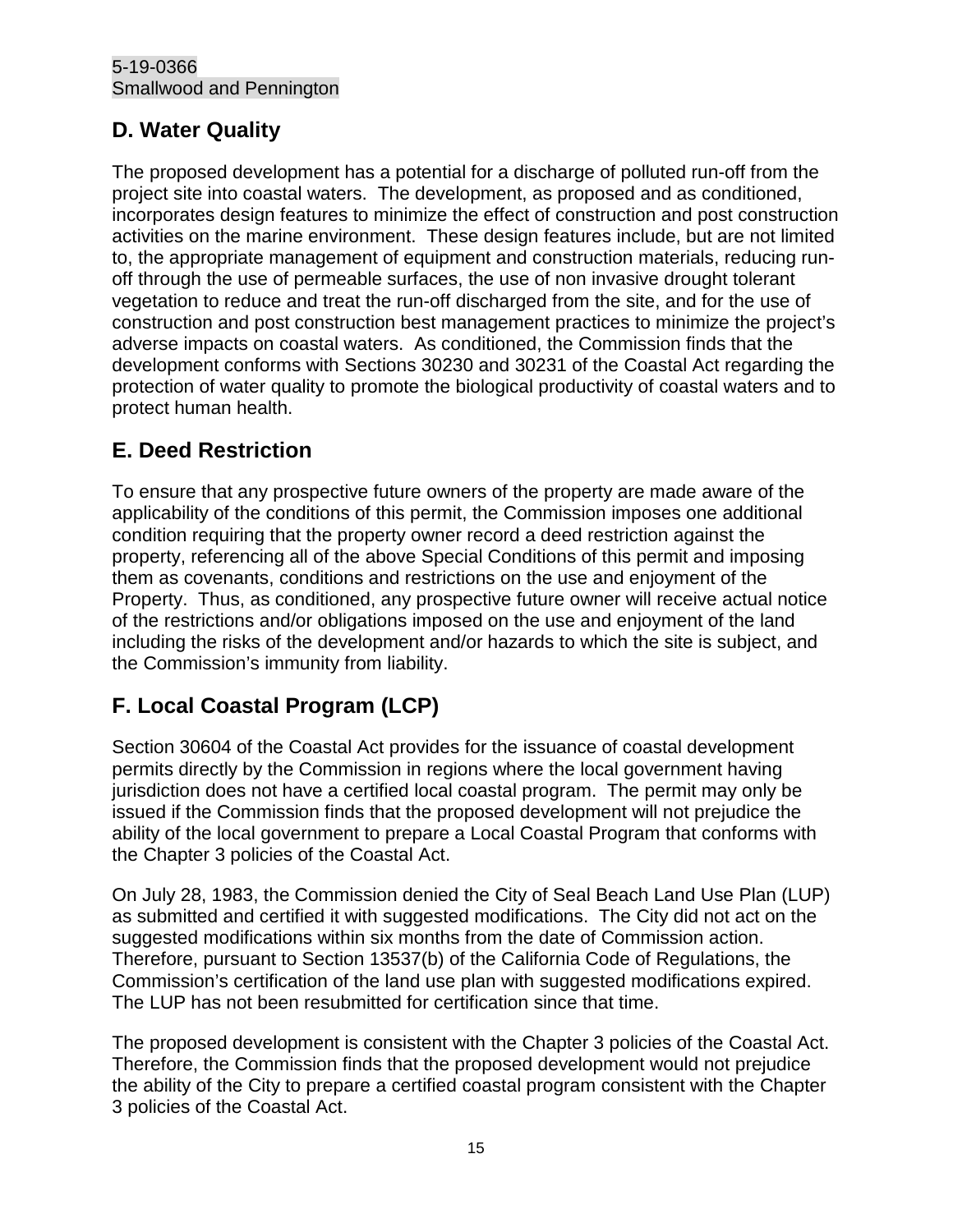## <span id="page-14-0"></span>**D. Water Quality**

The proposed development has a potential for a discharge of polluted run-off from the project site into coastal waters. The development, as proposed and as conditioned, incorporates design features to minimize the effect of construction and post construction activities on the marine environment. These design features include, but are not limited to, the appropriate management of equipment and construction materials, reducing runoff through the use of permeable surfaces, the use of non invasive drought tolerant vegetation to reduce and treat the run-off discharged from the site, and for the use of construction and post construction best management practices to minimize the project's adverse impacts on coastal waters. As conditioned, the Commission finds that the development conforms with Sections 30230 and 30231 of the Coastal Act regarding the protection of water quality to promote the biological productivity of coastal waters and to protect human health.

## <span id="page-14-1"></span>**E. Deed Restriction**

To ensure that any prospective future owners of the property are made aware of the applicability of the conditions of this permit, the Commission imposes one additional condition requiring that the property owner record a deed restriction against the property, referencing all of the above Special Conditions of this permit and imposing them as covenants, conditions and restrictions on the use and enjoyment of the Property. Thus, as conditioned, any prospective future owner will receive actual notice of the restrictions and/or obligations imposed on the use and enjoyment of the land including the risks of the development and/or hazards to which the site is subject, and the Commission's immunity from liability.

## <span id="page-14-2"></span>**F. Local Coastal Program (LCP)**

Section 30604 of the Coastal Act provides for the issuance of coastal development permits directly by the Commission in regions where the local government having jurisdiction does not have a certified local coastal program. The permit may only be issued if the Commission finds that the proposed development will not prejudice the ability of the local government to prepare a Local Coastal Program that conforms with the Chapter 3 policies of the Coastal Act.

On July 28, 1983, the Commission denied the City of Seal Beach Land Use Plan (LUP) as submitted and certified it with suggested modifications. The City did not act on the suggested modifications within six months from the date of Commission action. Therefore, pursuant to Section 13537(b) of the California Code of Regulations, the Commission's certification of the land use plan with suggested modifications expired. The LUP has not been resubmitted for certification since that time.

The proposed development is consistent with the Chapter 3 policies of the Coastal Act. Therefore, the Commission finds that the proposed development would not prejudice the ability of the City to prepare a certified coastal program consistent with the Chapter 3 policies of the Coastal Act.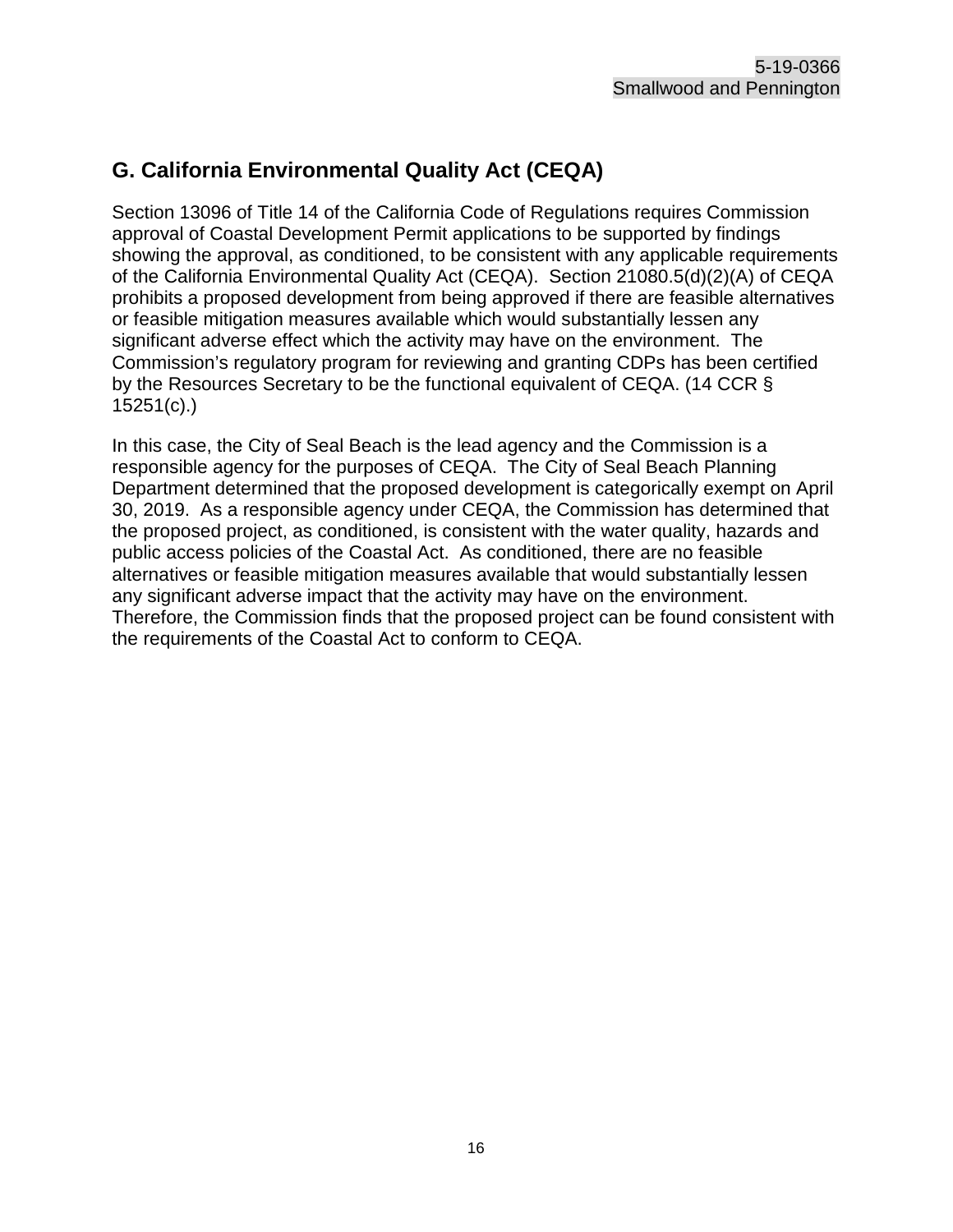## <span id="page-15-0"></span>**G. California Environmental Quality Act (CEQA)**

Section 13096 of Title 14 of the California Code of Regulations requires Commission approval of Coastal Development Permit applications to be supported by findings showing the approval, as conditioned, to be consistent with any applicable requirements of the California Environmental Quality Act (CEQA). Section 21080.5(d)(2)(A) of CEQA prohibits a proposed development from being approved if there are feasible alternatives or feasible mitigation measures available which would substantially lessen any significant adverse effect which the activity may have on the environment. The Commission's regulatory program for reviewing and granting CDPs has been certified by the Resources Secretary to be the functional equivalent of CEQA. (14 CCR § 15251(c).)

In this case, the City of Seal Beach is the lead agency and the Commission is a responsible agency for the purposes of CEQA. The City of Seal Beach Planning Department determined that the proposed development is categorically exempt on April 30, 2019. As a responsible agency under CEQA, the Commission has determined that the proposed project, as conditioned, is consistent with the water quality, hazards and public access policies of the Coastal Act. As conditioned, there are no feasible alternatives or feasible mitigation measures available that would substantially lessen any significant adverse impact that the activity may have on the environment. Therefore, the Commission finds that the proposed project can be found consistent with the requirements of the Coastal Act to conform to CEQA.